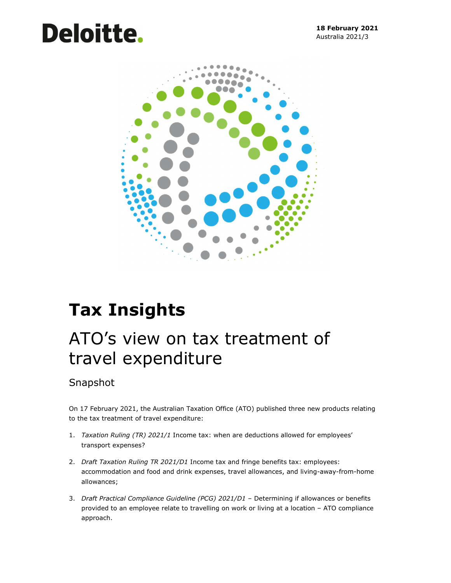# Deloitte.



# Tax Insights

## ATO's view on tax treatment of travel expenditure

### Snapshot

On 17 February 2021, the Australian Taxation Office (ATO) published three new products relating to the tax treatment of travel expenditure:

- 1. Taxation Ruling (TR) 2021/1 Income tax: when are deductions allowed for employees' transport expenses?
- 2. Draft Taxation Ruling TR 2021/D1 Income tax and fringe benefits tax: employees: accommodation and food and drink expenses, travel allowances, and living-away-from-home allowances;
- 3. Draft Practical Compliance Guideline (PCG) 2021/D1 Determining if allowances or benefits provided to an employee relate to travelling on work or living at a location – ATO compliance approach.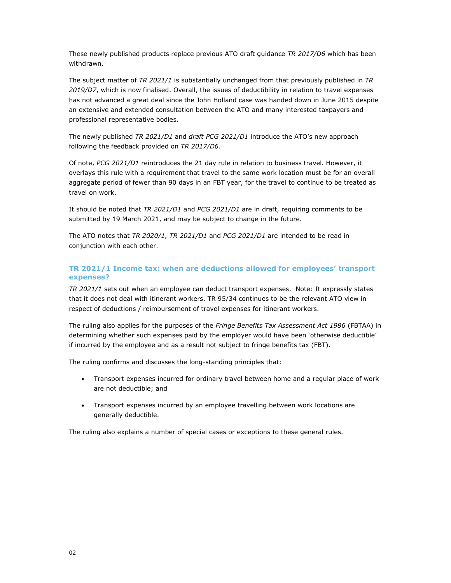These newly published products replace previous ATO draft guidance TR 2017/D6 which has been withdrawn.

The subject matter of TR 2021/1 is substantially unchanged from that previously published in TR 2019/D7, which is now finalised. Overall, the issues of deductibility in relation to travel expenses has not advanced a great deal since the John Holland case was handed down in June 2015 despite an extensive and extended consultation between the ATO and many interested taxpayers and professional representative bodies.

The newly published TR 2021/D1 and draft PCG 2021/D1 introduce the ATO's new approach following the feedback provided on TR 2017/D6.

Of note, PCG 2021/D1 reintroduces the 21 day rule in relation to business travel. However, it overlays this rule with a requirement that travel to the same work location must be for an overall aggregate period of fewer than 90 days in an FBT year, for the travel to continue to be treated as travel on work.

It should be noted that TR 2021/D1 and PCG 2021/D1 are in draft, requiring comments to be submitted by 19 March 2021, and may be subject to change in the future.

The ATO notes that TR 2020/1, TR 2021/D1 and PCG 2021/D1 are intended to be read in conjunction with each other.

#### TR 2021/1 Income tax: when are deductions allowed for employees' transport expenses?

TR 2021/1 sets out when an employee can deduct transport expenses. Note: It expressly states that it does not deal with itinerant workers. TR 95/34 continues to be the relevant ATO view in respect of deductions / reimbursement of travel expenses for itinerant workers.

The ruling also applies for the purposes of the Fringe Benefits Tax Assessment Act 1986 (FBTAA) in determining whether such expenses paid by the employer would have been 'otherwise deductible' if incurred by the employee and as a result not subject to fringe benefits tax (FBT).

The ruling confirms and discusses the long-standing principles that:

- Transport expenses incurred for ordinary travel between home and a regular place of work are not deductible; and
- Transport expenses incurred by an employee travelling between work locations are generally deductible.

The ruling also explains a number of special cases or exceptions to these general rules.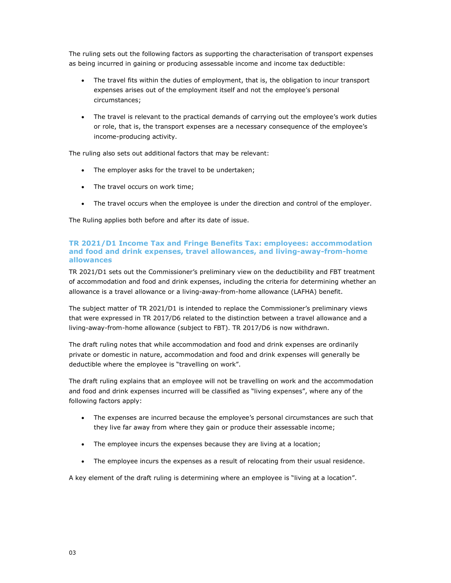The ruling sets out the following factors as supporting the characterisation of transport expenses as being incurred in gaining or producing assessable income and income tax deductible:

- The travel fits within the duties of employment, that is, the obligation to incur transport expenses arises out of the employment itself and not the employee's personal circumstances;
- The travel is relevant to the practical demands of carrying out the employee's work duties or role, that is, the transport expenses are a necessary consequence of the employee's income-producing activity.

The ruling also sets out additional factors that may be relevant:

- The employer asks for the travel to be undertaken;
- The travel occurs on work time;
- The travel occurs when the employee is under the direction and control of the employer.

The Ruling applies both before and after its date of issue.

#### TR 2021/D1 Income Tax and Fringe Benefits Tax: employees: accommodation and food and drink expenses, travel allowances, and living-away-from-home allowances

TR 2021/D1 sets out the Commissioner's preliminary view on the deductibility and FBT treatment of accommodation and food and drink expenses, including the criteria for determining whether an allowance is a travel allowance or a living-away-from-home allowance (LAFHA) benefit.

The subject matter of TR 2021/D1 is intended to replace the Commissioner's preliminary views that were expressed in TR 2017/D6 related to the distinction between a travel allowance and a living-away-from-home allowance (subject to FBT). TR 2017/D6 is now withdrawn.

The draft ruling notes that while accommodation and food and drink expenses are ordinarily private or domestic in nature, accommodation and food and drink expenses will generally be deductible where the employee is "travelling on work".

The draft ruling explains that an employee will not be travelling on work and the accommodation and food and drink expenses incurred will be classified as "living expenses", where any of the following factors apply:

- The expenses are incurred because the employee's personal circumstances are such that they live far away from where they gain or produce their assessable income;
- The employee incurs the expenses because they are living at a location;
- The employee incurs the expenses as a result of relocating from their usual residence.

A key element of the draft ruling is determining where an employee is "living at a location".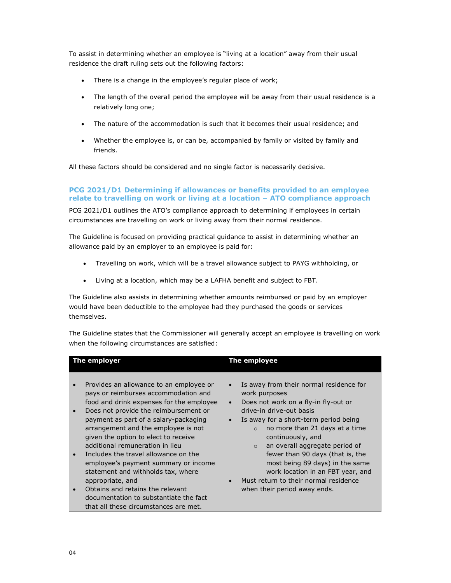To assist in determining whether an employee is "living at a location" away from their usual residence the draft ruling sets out the following factors:

- There is a change in the employee's regular place of work;
- The length of the overall period the employee will be away from their usual residence is a relatively long one;
- The nature of the accommodation is such that it becomes their usual residence; and
- Whether the employee is, or can be, accompanied by family or visited by family and friends.

All these factors should be considered and no single factor is necessarily decisive.

#### PCG 2021/D1 Determining if allowances or benefits provided to an employee relate to travelling on work or living at a location – ATO compliance approach

PCG 2021/D1 outlines the ATO's compliance approach to determining if employees in certain circumstances are travelling on work or living away from their normal residence.

The Guideline is focused on providing practical guidance to assist in determining whether an allowance paid by an employer to an employee is paid for:

- Travelling on work, which will be a travel allowance subject to PAYG withholding, or
- Living at a location, which may be a LAFHA benefit and subject to FBT.

The Guideline also assists in determining whether amounts reimbursed or paid by an employer would have been deductible to the employee had they purchased the goods or services themselves.

The Guideline states that the Commissioner will generally accept an employee is travelling on work when the following circumstances are satisfied:

| The employer                                                                                                                                                                                                                                                                                                                                                                                                                                                                                                                                                                                                                                         | The employee                                                                                                                                                                                                                                                                                                                                                                                                                                                                                         |
|------------------------------------------------------------------------------------------------------------------------------------------------------------------------------------------------------------------------------------------------------------------------------------------------------------------------------------------------------------------------------------------------------------------------------------------------------------------------------------------------------------------------------------------------------------------------------------------------------------------------------------------------------|------------------------------------------------------------------------------------------------------------------------------------------------------------------------------------------------------------------------------------------------------------------------------------------------------------------------------------------------------------------------------------------------------------------------------------------------------------------------------------------------------|
| Provides an allowance to an employee or<br>$\bullet$<br>pays or reimburses accommodation and<br>food and drink expenses for the employee<br>Does not provide the reimbursement or<br>$\bullet$<br>payment as part of a salary-packaging<br>arrangement and the employee is not<br>given the option to elect to receive<br>additional remuneration in lieu<br>Includes the travel allowance on the<br>$\bullet$<br>employee's payment summary or income<br>statement and withholds tax, where<br>appropriate, and<br>Obtains and retains the relevant<br>$\bullet$<br>documentation to substantiate the fact<br>that all these circumstances are met. | Is away from their normal residence for<br>$\bullet$<br>work purposes<br>Does not work on a fly-in fly-out or<br>$\bullet$<br>drive-in drive-out basis<br>Is away for a short-term period being<br>no more than 21 days at a time<br>$\Omega$<br>continuously, and<br>an overall aggregate period of<br>$\circ$<br>fewer than 90 days (that is, the<br>most being 89 days) in the same<br>work location in an FBT year, and<br>Must return to their normal residence<br>when their period away ends. |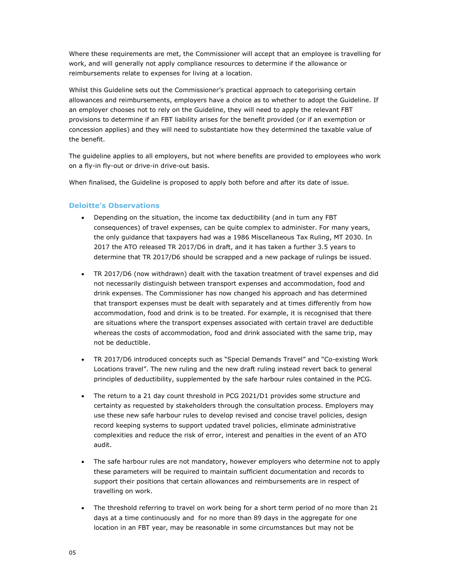Where these requirements are met, the Commissioner will accept that an employee is travelling for work, and will generally not apply compliance resources to determine if the allowance or reimbursements relate to expenses for living at a location.

Whilst this Guideline sets out the Commissioner's practical approach to categorising certain allowances and reimbursements, employers have a choice as to whether to adopt the Guideline. If an employer chooses not to rely on the Guideline, they will need to apply the relevant FBT provisions to determine if an FBT liability arises for the benefit provided (or if an exemption or concession applies) and they will need to substantiate how they determined the taxable value of the benefit.

The guideline applies to all employers, but not where benefits are provided to employees who work on a fly-in fly-out or drive-in drive-out basis.

When finalised, the Guideline is proposed to apply both before and after its date of issue.

#### Deloitte's Observations

- Depending on the situation, the income tax deductibility (and in turn any FBT consequences) of travel expenses, can be quite complex to administer. For many years, the only guidance that taxpayers had was a 1986 Miscellaneous Tax Ruling, MT 2030. In 2017 the ATO released TR 2017/D6 in draft, and it has taken a further 3.5 years to determine that TR 2017/D6 should be scrapped and a new package of rulings be issued.
- TR 2017/D6 (now withdrawn) dealt with the taxation treatment of travel expenses and did not necessarily distinguish between transport expenses and accommodation, food and drink expenses. The Commissioner has now changed his approach and has determined that transport expenses must be dealt with separately and at times differently from how accommodation, food and drink is to be treated. For example, it is recognised that there are situations where the transport expenses associated with certain travel are deductible whereas the costs of accommodation, food and drink associated with the same trip, may not be deductible.
- TR 2017/D6 introduced concepts such as "Special Demands Travel" and "Co-existing Work Locations travel". The new ruling and the new draft ruling instead revert back to general principles of deductibility, supplemented by the safe harbour rules contained in the PCG.
- The return to a 21 day count threshold in PCG 2021/D1 provides some structure and certainty as requested by stakeholders through the consultation process. Employers may use these new safe harbour rules to develop revised and concise travel policies, design record keeping systems to support updated travel policies, eliminate administrative complexities and reduce the risk of error, interest and penalties in the event of an ATO audit.
- The safe harbour rules are not mandatory, however employers who determine not to apply these parameters will be required to maintain sufficient documentation and records to support their positions that certain allowances and reimbursements are in respect of travelling on work.
- The threshold referring to travel on work being for a short term period of no more than 21 days at a time continuously and for no more than 89 days in the aggregate for one location in an FBT year, may be reasonable in some circumstances but may not be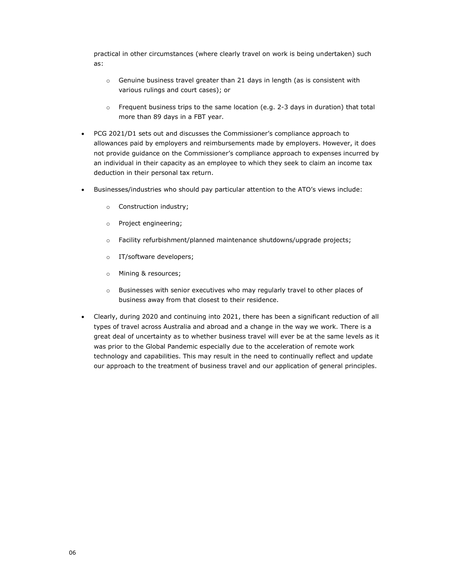practical in other circumstances (where clearly travel on work is being undertaken) such as:

- o Genuine business travel greater than 21 days in length (as is consistent with various rulings and court cases); or
- $\circ$  Frequent business trips to the same location (e.g. 2-3 days in duration) that total more than 89 days in a FBT year.
- PCG 2021/D1 sets out and discusses the Commissioner's compliance approach to allowances paid by employers and reimbursements made by employers. However, it does not provide guidance on the Commissioner's compliance approach to expenses incurred by an individual in their capacity as an employee to which they seek to claim an income tax deduction in their personal tax return.
- Businesses/industries who should pay particular attention to the ATO's views include:
	- o Construction industry;
	- o Project engineering;
	- o Facility refurbishment/planned maintenance shutdowns/upgrade projects;
	- o IT/software developers;
	- o Mining & resources;
	- o Businesses with senior executives who may regularly travel to other places of business away from that closest to their residence.
- Clearly, during 2020 and continuing into 2021, there has been a significant reduction of all types of travel across Australia and abroad and a change in the way we work. There is a great deal of uncertainty as to whether business travel will ever be at the same levels as it was prior to the Global Pandemic especially due to the acceleration of remote work technology and capabilities. This may result in the need to continually reflect and update our approach to the treatment of business travel and our application of general principles.